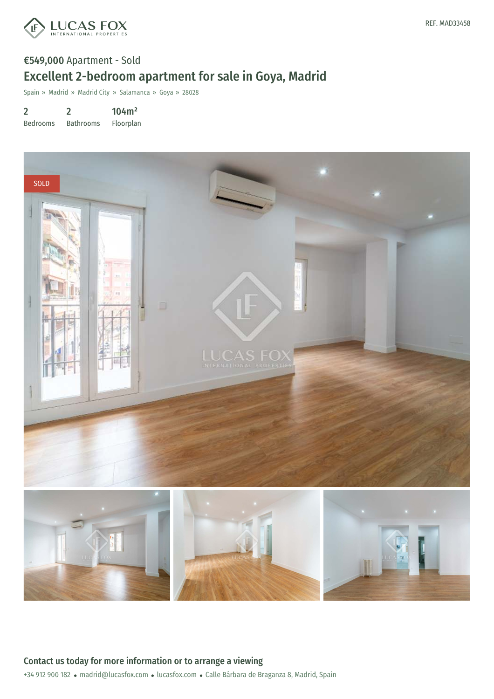

## €549,000 Apartment - Sold Excellent 2-bedroom apartment for sale in Goya, Madrid

Spain » Madrid » Madrid City » Salamanca » Goya » 28028

2 Bedrooms 2 Bathrooms 104m² Floorplan

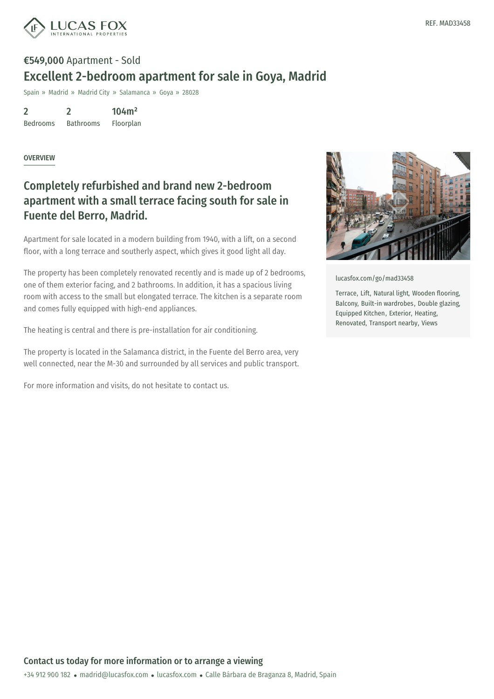

## €549,000 Apartment - Sold Excellent 2-bedroom apartment for sale in Goya, Madrid

Spain » Madrid » Madrid City » Salamanca » Goya » 28028

2 Bedrooms 2 Bathrooms 104m² Floorplan

**OVERVIEW** 

## Completely refurbished and brand new 2-bedroom apartment with a small terrace facing south for sale in Fuente del Berro, Madrid.

Apartment for sale located in a modern building from 1940, with a lift, on a second floor, with a long terrace and southerly aspect, which gives it good light all day.

The property has been completely renovated recently and is made up of 2 bedrooms, one of them exterior facing, and 2 bathrooms. In addition, it has a spacious living room with access to the small but elongated terrace. The kitchen is a separate room and comes fully equipped with high-end appliances.

The heating is central and there is pre-installation for air conditioning.

The property is located in the Salamanca district, in the Fuente del Berro area, very well connected, near the M-30 and surrounded by all services and public transport.

For more information and visits, do not hesitate to contact us.



[lucasfox.com/go/mad33458](https://www.lucasfox.com/go/mad33458)

Terrace, Lift, Natural light, Wooden flooring, Balcony, Built-in wardrobes, Double glazing, Equipped Kitchen, Exterior, Heating, Renovated, Transport nearby, Views